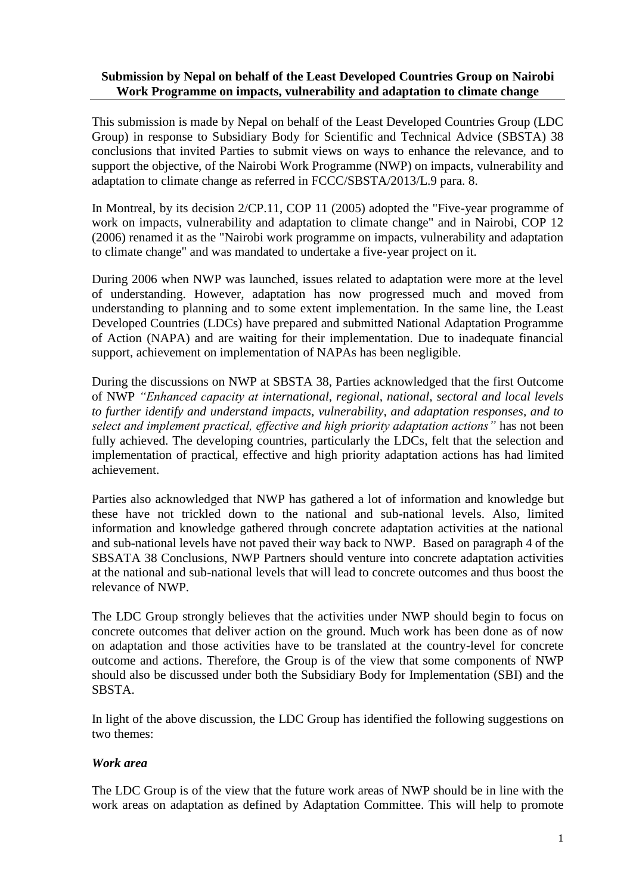## **Submission by Nepal on behalf of the Least Developed Countries Group on Nairobi Work Programme on impacts, vulnerability and adaptation to climate change**

This submission is made by Nepal on behalf of the Least Developed Countries Group (LDC Group) in response to Subsidiary Body for Scientific and Technical Advice (SBSTA) 38 conclusions that invited Parties to submit views on ways to enhance the relevance, and to support the objective, of the Nairobi Work Programme (NWP) on impacts, vulnerability and adaptation to climate change as referred in FCCC/SBSTA/2013/L.9 para. 8*.*

In Montreal, by its decision 2/CP.11, COP 11 (2005) adopted the "Five-year programme of work on impacts, vulnerability and adaptation to climate change" and in Nairobi, COP 12 (2006) renamed it as the "Nairobi work programme on impacts, vulnerability and adaptation to climate change" and was mandated to undertake a five-year project on it.

During 2006 when NWP was launched, issues related to adaptation were more at the level of understanding. However, adaptation has now progressed much and moved from understanding to planning and to some extent implementation. In the same line, the Least Developed Countries (LDCs) have prepared and submitted National Adaptation Programme of Action (NAPA) and are waiting for their implementation. Due to inadequate financial support, achievement on implementation of NAPAs has been negligible.

During the discussions on NWP at SBSTA 38, Parties acknowledged that the first Outcome of NWP *"Enhanced capacity at international, regional, national, sectoral and local levels to further identify and understand impacts, vulnerability, and adaptation responses, and to select and implement practical, effective and high priority adaptation actions"* has not been fully achieved. The developing countries, particularly the LDCs, felt that the selection and implementation of practical, effective and high priority adaptation actions has had limited achievement.

Parties also acknowledged that NWP has gathered a lot of information and knowledge but these have not trickled down to the national and sub-national levels. Also, limited information and knowledge gathered through concrete adaptation activities at the national and sub-national levels have not paved their way back to NWP. Based on paragraph 4 of the SBSATA 38 Conclusions, NWP Partners should venture into concrete adaptation activities at the national and sub-national levels that will lead to concrete outcomes and thus boost the relevance of NWP.

The LDC Group strongly believes that the activities under NWP should begin to focus on concrete outcomes that deliver action on the ground. Much work has been done as of now on adaptation and those activities have to be translated at the country-level for concrete outcome and actions. Therefore, the Group is of the view that some components of NWP should also be discussed under both the Subsidiary Body for Implementation (SBI) and the SBSTA.

In light of the above discussion, the LDC Group has identified the following suggestions on two themes:

## *Work area*

The LDC Group is of the view that the future work areas of NWP should be in line with the work areas on adaptation as defined by Adaptation Committee. This will help to promote